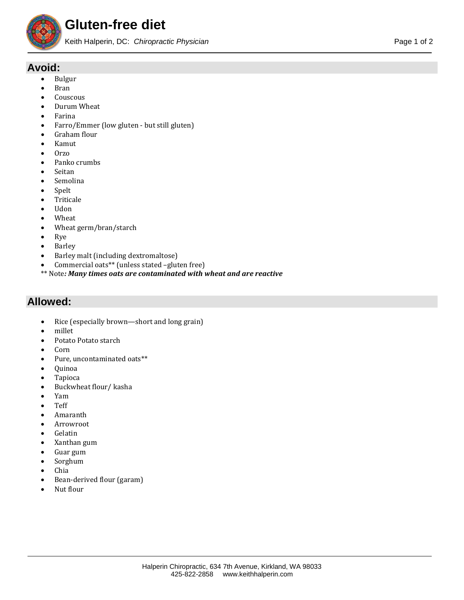

## **Avoid:**

- Bulgur
- Bran
- **Couscous**
- Durum Wheat
- Farina
- Farro/Emmer (low gluten but still gluten)
- Graham flour
- Kamut
- Orzo
- Panko crumbs
- **Seitan**
- Semolina
- Spelt
- **Triticale**
- Udon
- Wheat
- Wheat germ/bran/starch<br>•  $Rve$
- Rye
- Barley
- Barley malt (including dextromaltose)
- Commercial oats\*\* (unless stated –gluten free)
- \*\* Note*: Many times oats are contaminated with wheat and are reactive*

## **Allowed:**

- Rice (especially brown—short and long grain)
- millet
- Potato Potato starch
- Corn
- Pure, uncontaminated oats\*\*
- Quinoa
- Tapioca
- Buckwheat flour/ kasha
- Yam
- Teff
- Amaranth
- Arrowroot
- **Gelatin**
- Xanthan gum
- Guar gum
- Sorghum
- Chia
- Bean-derived flour (garam)
- Nut flour